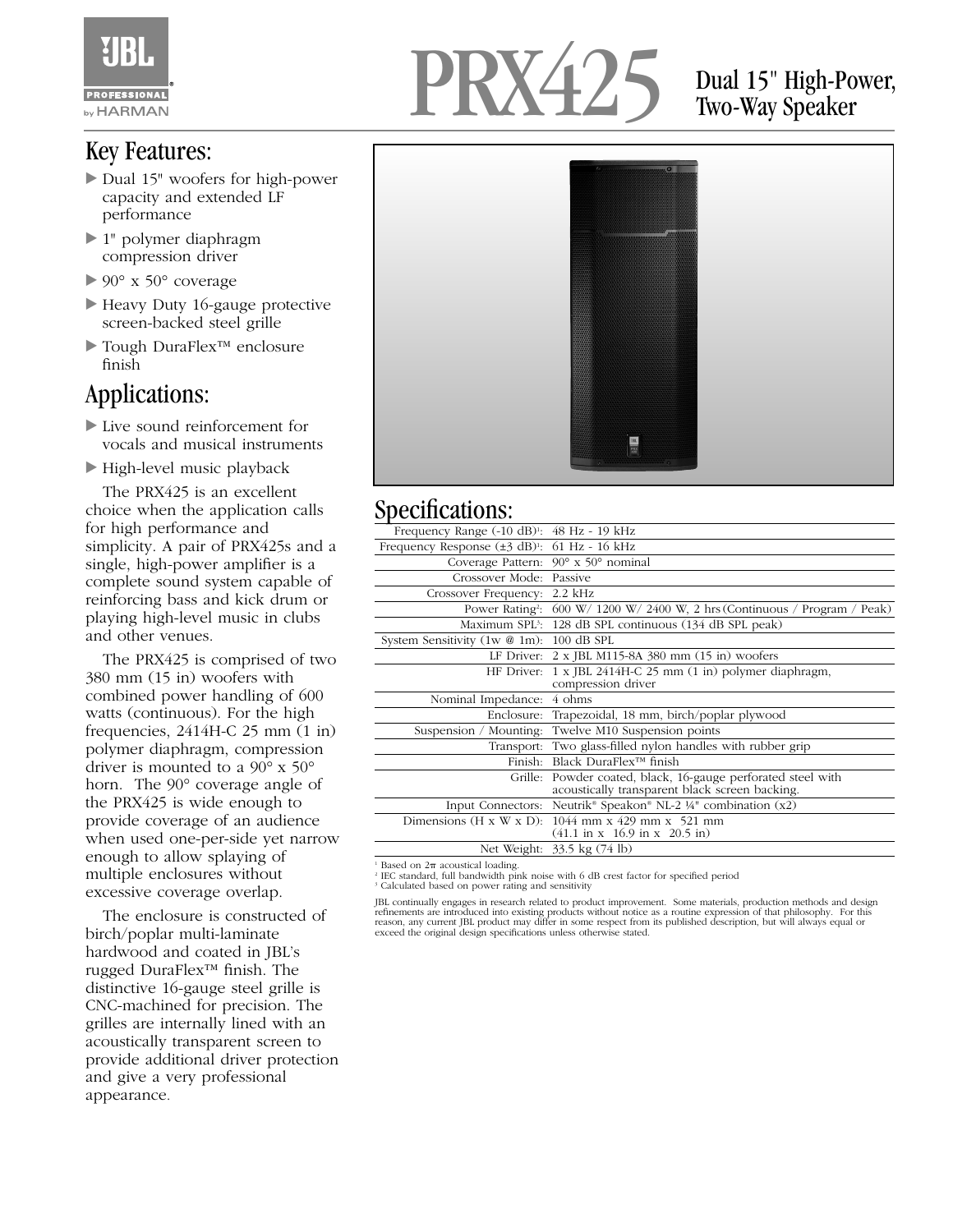

### Key Features:

- Dual 15" woofers for high-power capacity and extended LF performance
- ▶ 1" polymer diaphragm compression driver
- $\triangleright$  90° x 50° coverage
- Heavy Duty 16-gauge protective screen-backed steel grille
- Tough DuraFlex™ enclosure finish

### Applications:

- Live sound reinforcement for vocals and musical instruments
- High-level music playback

The PRX425 is an excellent choice when the application calls for high performance and simplicity. A pair of PRX425s and a single, high-power amplifier is a complete sound system capable of reinforcing bass and kick drum or playing high-level music in clubs and other venues.

The PRX425 is comprised of two 380 mm (15 in) woofers with combined power handling of 600 watts (continuous). For the high frequencies, 2414H-C 25 mm (1 in) polymer diaphragm, compression driver is mounted to a 90° x 50° horn. The 90° coverage angle of the PRX425 is wide enough to provide coverage of an audience when used one-per-side yet narrow enough to allow splaying of multiple enclosures without excessive coverage overlap.

The enclosure is constructed of birch/poplar multi-laminate hardwood and coated in JBL's rugged DuraFlex™ finish. The distinctive 16-gauge steel grille is CNC-machined for precision. The grilles are internally lined with an acoustically transparent screen to provide additional driver protection and give a very professional appearance.



## Dual 15" High-Power, Two-Way Speaker



#### Specifications<sup>.</sup>

| Frequency Range $(-10 \text{ dB})$ <sup>1</sup> : $48 \text{ Hz}$ - 19 kHz |                                                                                                                |
|----------------------------------------------------------------------------|----------------------------------------------------------------------------------------------------------------|
| Frequency Response (±3 dB) <sup>1</sup> : 61 Hz - 16 kHz                   |                                                                                                                |
|                                                                            | Coverage Pattern: 90° x 50° nominal                                                                            |
| Crossover Mode: Passive                                                    |                                                                                                                |
| Crossover Frequency: 2.2 kHz                                               |                                                                                                                |
|                                                                            | Power Rating <sup>2</sup> : 600 W/ 1200 W/ 2400 W, 2 hrs (Continuous / Program / Peak)                         |
|                                                                            | Maximum SPL <sup>3</sup> : 128 dB SPL continuous (134 dB SPL peak)                                             |
| System Sensitivity (1w @ 1m): 100 dB SPL                                   |                                                                                                                |
|                                                                            | LF Driver: 2 x JBL M115-8A 380 mm (15 in) woofers                                                              |
|                                                                            | HF Driver: 1 x JBL 2414H-C 25 mm (1 in) polymer diaphragm,<br>compression driver                               |
| Nominal Impedance: 4 ohms                                                  |                                                                                                                |
|                                                                            | Enclosure: Trapezoidal, 18 mm, birch/poplar plywood                                                            |
|                                                                            | Suspension / Mounting: Twelve M10 Suspension points                                                            |
|                                                                            | Transport: Two glass-filled nylon handles with rubber grip                                                     |
| Finish:                                                                    | Black DuraFlex <sup>™</sup> finish                                                                             |
|                                                                            | Grille: Powder coated, black, 16-gauge perforated steel with<br>acoustically transparent black screen backing. |
|                                                                            | Input Connectors: Neutrik <sup>®</sup> Speakon® NL-2 ¼ <sup>®</sup> combination (x2)                           |
| Dimensions $(H \times W \times D)$ :                                       | 1044 mm x 429 mm x 521 mm<br>$(41.1 \text{ in } x \quad 16.9 \text{ in } x \quad 20.5 \text{ in})$             |
|                                                                            | Net Weight: 33.5 kg (74 lb)                                                                                    |

 $^1$  Based on 2 $\pi$  acoustical loading.<br><sup>2</sup> IEC standard, full bandwidth pink noise with 6 dB crest factor for specified period

<sup>3</sup> Calculated based on power rating and sensitivity

JBL continually engages in research related to product improvement. Some materials, production methods and design refinements are introduced into existing products without notice as a routine expression of that philosophy. For this<br>reason, any current JBL product may differ in some respect from its published description, but will alwa